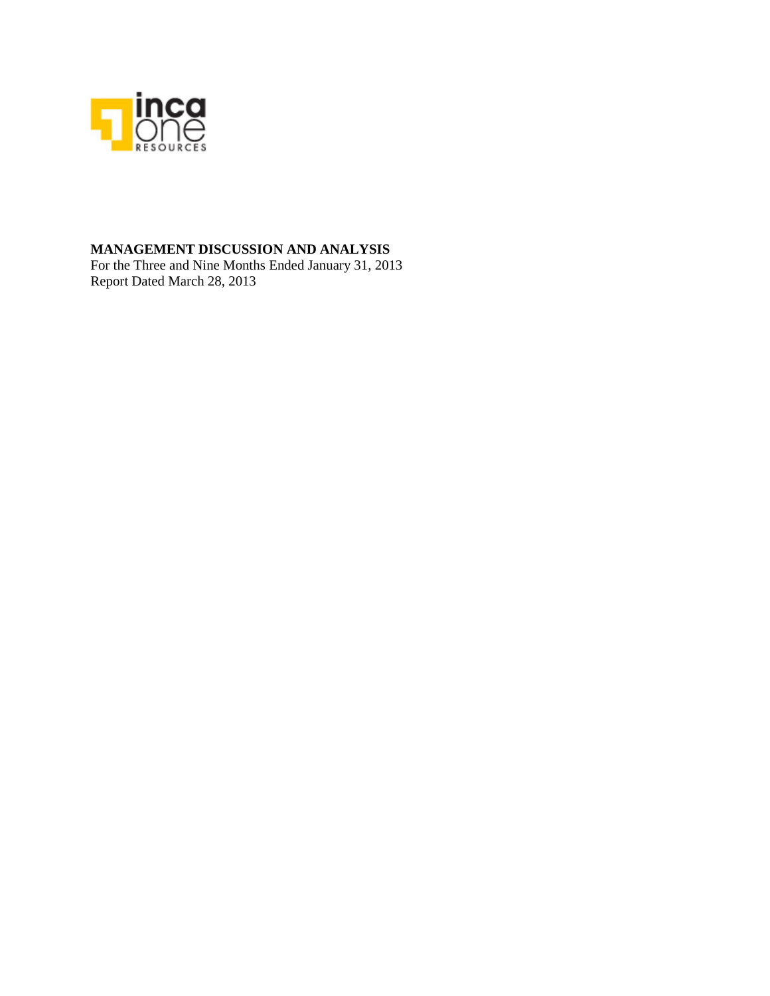

## **MANAGEMENT DISCUSSION AND ANALYSIS**

For the Three and Nine Months Ended January 31, 2013 Report Dated March 28, 2013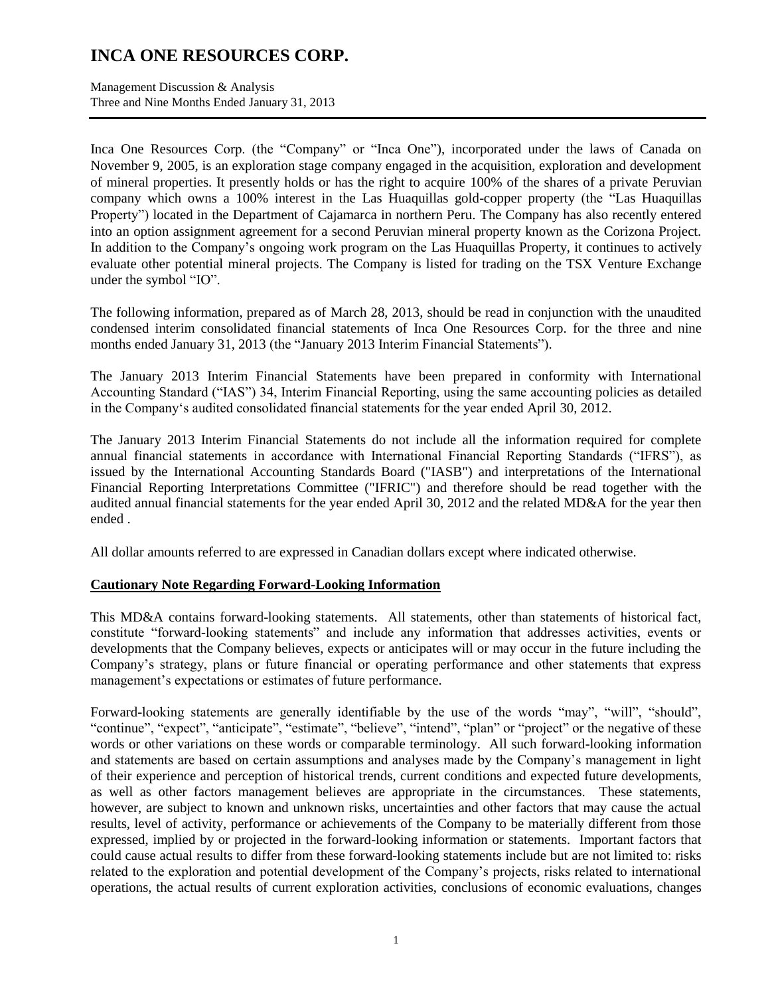Management Discussion & Analysis Three and Nine Months Ended January 31, 2013

Inca One Resources Corp. (the "Company" or "Inca One"), incorporated under the laws of Canada on November 9, 2005, is an exploration stage company engaged in the acquisition, exploration and development of mineral properties. It presently holds or has the right to acquire 100% of the shares of a private Peruvian company which owns a 100% interest in the Las Huaquillas gold-copper property (the "Las Huaquillas Property") located in the Department of Cajamarca in northern Peru. The Company has also recently entered into an option assignment agreement for a second Peruvian mineral property known as the Corizona Project. In addition to the Company's ongoing work program on the Las Huaquillas Property, it continues to actively evaluate other potential mineral projects. The Company is listed for trading on the TSX Venture Exchange under the symbol "IO".

The following information, prepared as of March 28, 2013, should be read in conjunction with the unaudited condensed interim consolidated financial statements of Inca One Resources Corp. for the three and nine months ended January 31, 2013 (the "January 2013 Interim Financial Statements").

The January 2013 Interim Financial Statements have been prepared in conformity with International Accounting Standard ("IAS") 34, Interim Financial Reporting, using the same accounting policies as detailed in the Company's audited consolidated financial statements for the year ended April 30, 2012.

The January 2013 Interim Financial Statements do not include all the information required for complete annual financial statements in accordance with International Financial Reporting Standards ("IFRS"), as issued by the International Accounting Standards Board ("IASB") and interpretations of the International Financial Reporting Interpretations Committee ("IFRIC") and therefore should be read together with the audited annual financial statements for the year ended April 30, 2012 and the related MD&A for the year then ended .

All dollar amounts referred to are expressed in Canadian dollars except where indicated otherwise.

### **Cautionary Note Regarding Forward-Looking Information**

This MD&A contains forward-looking statements. All statements, other than statements of historical fact, constitute "forward-looking statements" and include any information that addresses activities, events or developments that the Company believes, expects or anticipates will or may occur in the future including the Company's strategy, plans or future financial or operating performance and other statements that express management's expectations or estimates of future performance.

Forward-looking statements are generally identifiable by the use of the words "may", "will", "should", "continue", "expect", "anticipate", "estimate", "believe", "intend", "plan" or "project" or the negative of these words or other variations on these words or comparable terminology. All such forward-looking information and statements are based on certain assumptions and analyses made by the Company's management in light of their experience and perception of historical trends, current conditions and expected future developments, as well as other factors management believes are appropriate in the circumstances. These statements, however, are subject to known and unknown risks, uncertainties and other factors that may cause the actual results, level of activity, performance or achievements of the Company to be materially different from those expressed, implied by or projected in the forward-looking information or statements. Important factors that could cause actual results to differ from these forward-looking statements include but are not limited to: risks related to the exploration and potential development of the Company's projects, risks related to international operations, the actual results of current exploration activities, conclusions of economic evaluations, changes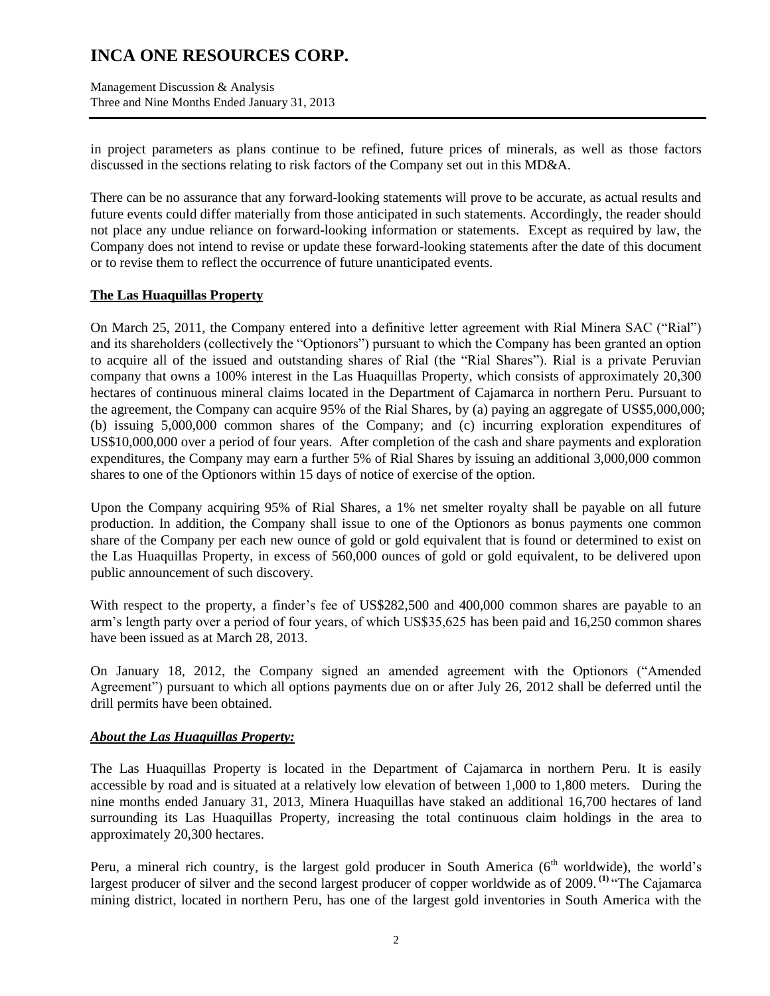Management Discussion & Analysis Three and Nine Months Ended January 31, 2013

in project parameters as plans continue to be refined, future prices of minerals, as well as those factors discussed in the sections relating to risk factors of the Company set out in this MD&A.

There can be no assurance that any forward-looking statements will prove to be accurate, as actual results and future events could differ materially from those anticipated in such statements. Accordingly, the reader should not place any undue reliance on forward-looking information or statements. Except as required by law, the Company does not intend to revise or update these forward-looking statements after the date of this document or to revise them to reflect the occurrence of future unanticipated events.

### **The Las Huaquillas Property**

On March 25, 2011, the Company entered into a definitive letter agreement with Rial Minera SAC ("Rial") and its shareholders (collectively the "Optionors") pursuant to which the Company has been granted an option to acquire all of the issued and outstanding shares of Rial (the "Rial Shares"). Rial is a private Peruvian company that owns a 100% interest in the Las Huaquillas Property, which consists of approximately 20,300 hectares of continuous mineral claims located in the Department of Cajamarca in northern Peru. Pursuant to the agreement, the Company can acquire 95% of the Rial Shares, by (a) paying an aggregate of US\$5,000,000; (b) issuing 5,000,000 common shares of the Company; and (c) incurring exploration expenditures of US\$10,000,000 over a period of four years. After completion of the cash and share payments and exploration expenditures, the Company may earn a further 5% of Rial Shares by issuing an additional 3,000,000 common shares to one of the Optionors within 15 days of notice of exercise of the option.

Upon the Company acquiring 95% of Rial Shares, a 1% net smelter royalty shall be payable on all future production. In addition, the Company shall issue to one of the Optionors as bonus payments one common share of the Company per each new ounce of gold or gold equivalent that is found or determined to exist on the Las Huaquillas Property, in excess of 560,000 ounces of gold or gold equivalent, to be delivered upon public announcement of such discovery.

With respect to the property, a finder's fee of US\$282,500 and 400,000 common shares are payable to an arm's length party over a period of four years, of which US\$35,625 has been paid and 16,250 common shares have been issued as at March 28, 2013.

On January 18, 2012, the Company signed an amended agreement with the Optionors ("Amended Agreement") pursuant to which all options payments due on or after July 26, 2012 shall be deferred until the drill permits have been obtained.

### *About the Las Huaquillas Property:*

The Las Huaquillas Property is located in the Department of Cajamarca in northern Peru. It is easily accessible by road and is situated at a relatively low elevation of between 1,000 to 1,800 meters. During the nine months ended January 31, 2013, Minera Huaquillas have staked an additional 16,700 hectares of land surrounding its Las Huaquillas Property, increasing the total continuous claim holdings in the area to approximately 20,300 hectares.

Peru, a mineral rich country, is the largest gold producer in South America  $(6<sup>th</sup>$  worldwide), the world's largest producer of silver and the second largest producer of copper worldwide as of 2009.<sup>(1)</sup> "The Cajamarca mining district, located in northern Peru, has one of the largest gold inventories in South America with the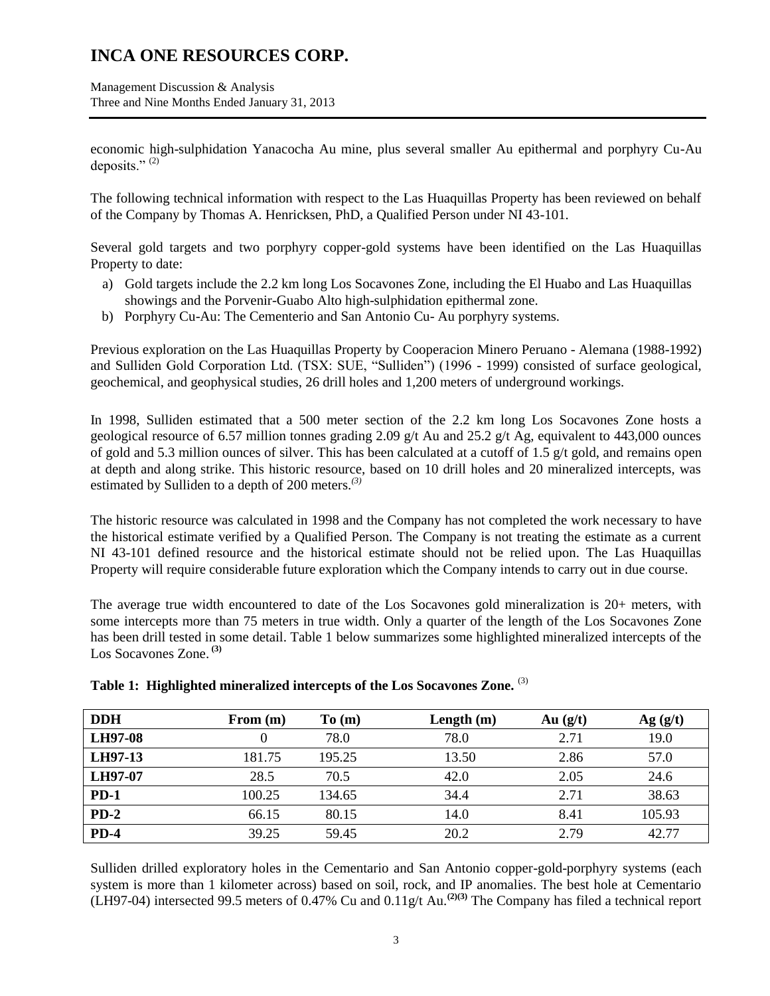Management Discussion & Analysis Three and Nine Months Ended January 31, 2013

economic high-sulphidation Yanacocha Au mine, plus several smaller Au epithermal and porphyry Cu-Au deposits." $(2)$ 

The following technical information with respect to the Las Huaquillas Property has been reviewed on behalf of the Company by Thomas A. Henricksen, PhD, a Qualified Person under NI 43-101.

Several gold targets and two porphyry copper-gold systems have been identified on the Las Huaquillas Property to date:

- a) Gold targets include the 2.2 km long Los Socavones Zone, including the El Huabo and Las Huaquillas showings and the Porvenir-Guabo Alto high-sulphidation epithermal zone.
- b) Porphyry Cu-Au: The Cementerio and San Antonio Cu- Au porphyry systems.

Previous exploration on the Las Huaquillas Property by Cooperacion Minero Peruano - Alemana (1988-1992) and Sulliden Gold Corporation Ltd. (TSX: SUE, "Sulliden") (1996 - 1999) consisted of surface geological, geochemical, and geophysical studies, 26 drill holes and 1,200 meters of underground workings.

In 1998, Sulliden estimated that a 500 meter section of the 2.2 km long Los Socavones Zone hosts a geological resource of 6.57 million tonnes grading 2.09 g/t Au and 25.2 g/t Ag, equivalent to 443,000 ounces of gold and 5.3 million ounces of silver. This has been calculated at a cutoff of 1.5 g/t gold, and remains open at depth and along strike. This historic resource, based on 10 drill holes and 20 mineralized intercepts, was estimated by Sulliden to a depth of 200 meters.*(3)* 

The historic resource was calculated in 1998 and the Company has not completed the work necessary to have the historical estimate verified by a Qualified Person. The Company is not treating the estimate as a current NI 43-101 defined resource and the historical estimate should not be relied upon. The Las Huaquillas Property will require considerable future exploration which the Company intends to carry out in due course.

The average true width encountered to date of the Los Socavones gold mineralization is 20+ meters, with some intercepts more than 75 meters in true width. Only a quarter of the length of the Los Socavones Zone has been drill tested in some detail. Table 1 below summarizes some highlighted mineralized intercepts of the Los Socavones Zone. **(3)**

| <b>DDH</b>     | From $(m)$ | To(m)  | Length $(m)$ | Au $(g/t)$ | Ag(g/t) |
|----------------|------------|--------|--------------|------------|---------|
| <b>LH97-08</b> |            | 78.0   | 78.0         | 2.71       | 19.0    |
| LH97-13        | 181.75     | 195.25 | 13.50        | 2.86       | 57.0    |
| <b>LH97-07</b> | 28.5       | 70.5   | 42.0         | 2.05       | 24.6    |
| $PD-1$         | 100.25     | 134.65 | 34.4         | 2.71       | 38.63   |
| $PD-2$         | 66.15      | 80.15  | 14.0         | 8.41       | 105.93  |
| $PD-4$         | 39.25      | 59.45  | 20.2         | 2.79       | 42.77   |

**Table 1: Highlighted mineralized intercepts of the Los Socavones Zone.** (3) 

Sulliden drilled exploratory holes in the Cementario and San Antonio copper-gold-porphyry systems (each system is more than 1 kilometer across) based on soil, rock, and IP anomalies. The best hole at Cementario (LH97-04) intersected 99.5 meters of 0.47% Cu and 0.11g/t Au.**(2)(3)** The Company has filed a technical report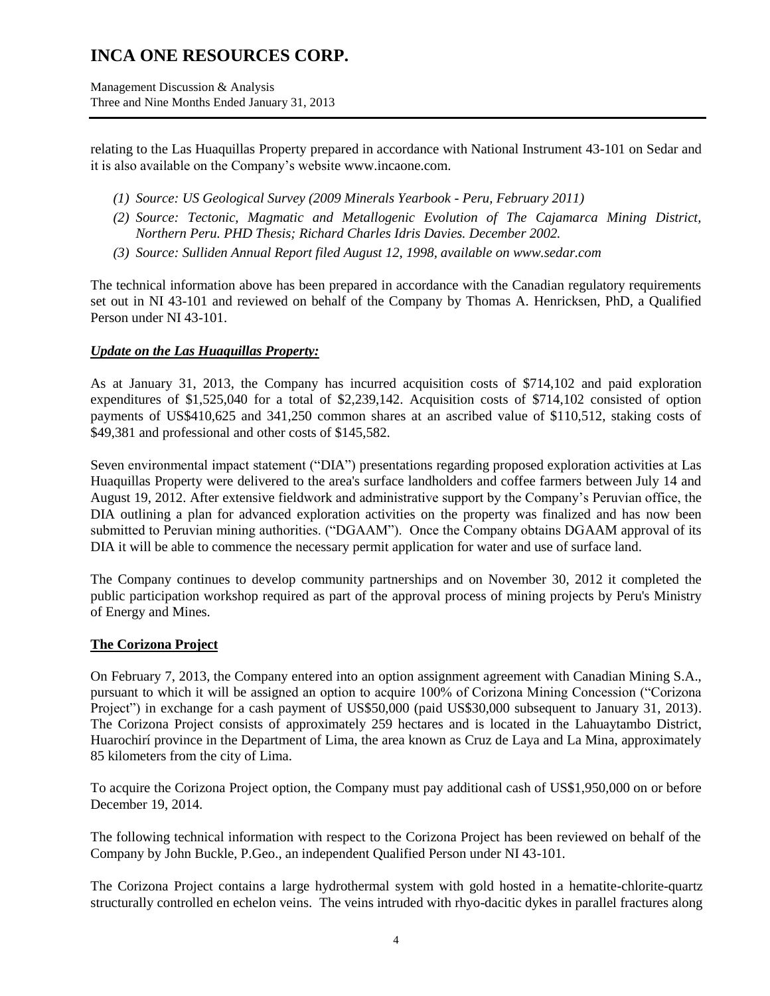Management Discussion & Analysis Three and Nine Months Ended January 31, 2013

relating to the Las Huaquillas Property prepared in accordance with National Instrument 43-101 on Sedar and it is also available on the Company's websit[e www.incaone.com.](http://www.incaone.com/)

- *(1) Source: US Geological Survey (2009 Minerals Yearbook - Peru, February 2011)*
- *(2) Source: Tectonic, Magmatic and Metallogenic Evolution of The Cajamarca Mining District, Northern Peru. PHD Thesis; Richard Charles Idris Davies. December 2002.*
- *(3) Source: Sulliden Annual Report filed August 12, 1998, available on www.sedar.com*

The technical information above has been prepared in accordance with the Canadian regulatory requirements set out in NI 43-101 and reviewed on behalf of the Company by Thomas A. Henricksen, PhD, a Qualified Person under NI 43-101.

### *Update on the Las Huaquillas Property:*

As at January 31, 2013, the Company has incurred acquisition costs of \$714,102 and paid exploration expenditures of \$1,525,040 for a total of \$2,239,142. Acquisition costs of \$714,102 consisted of option payments of US\$410,625 and 341,250 common shares at an ascribed value of \$110,512, staking costs of \$49,381 and professional and other costs of \$145,582.

Seven environmental impact statement ("DIA") presentations regarding proposed exploration activities at Las Huaquillas Property were delivered to the area's surface landholders and coffee farmers between July 14 and August 19, 2012. After extensive fieldwork and administrative support by the Company's Peruvian office, the DIA outlining a plan for advanced exploration activities on the property was finalized and has now been submitted to Peruvian mining authorities. ("DGAAM"). Once the Company obtains DGAAM approval of its DIA it will be able to commence the necessary permit application for water and use of surface land.

The Company continues to develop community partnerships and on November 30, 2012 it completed the public participation workshop required as part of the approval process of mining projects by Peru's Ministry of Energy and Mines.

### **The Corizona Project**

On February 7, 2013, the Company entered into an option assignment agreement with Canadian Mining S.A., pursuant to which it will be assigned an option to acquire 100% of Corizona Mining Concession ("Corizona Project") in exchange for a cash payment of US\$50,000 (paid US\$30,000 subsequent to January 31, 2013). The Corizona Project consists of approximately 259 hectares and is located in the Lahuaytambo District, Huarochirí province in the Department of Lima, the area known as Cruz de Laya and La Mina, approximately 85 kilometers from the city of Lima.

To acquire the Corizona Project option, the Company must pay additional cash of US\$1,950,000 on or before December 19, 2014.

The following technical information with respect to the Corizona Project has been reviewed on behalf of the Company by John Buckle, P.Geo., an independent Qualified Person under NI 43-101.

The Corizona Project contains a large hydrothermal system with gold hosted in a hematite-chlorite-quartz structurally controlled en echelon veins. The veins intruded with rhyo-dacitic dykes in parallel fractures along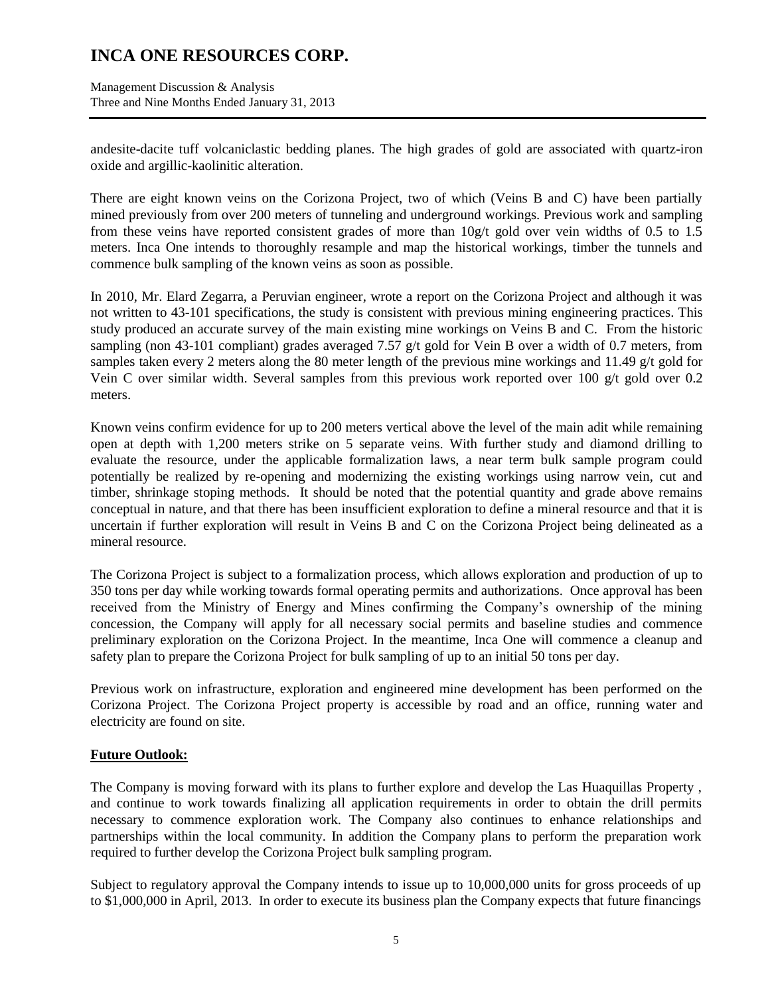Management Discussion & Analysis Three and Nine Months Ended January 31, 2013

andesite-dacite tuff volcaniclastic bedding planes. The high grades of gold are associated with quartz-iron oxide and argillic-kaolinitic alteration.

There are eight known veins on the Corizona Project, two of which (Veins B and C) have been partially mined previously from over 200 meters of tunneling and underground workings. Previous work and sampling from these veins have reported consistent grades of more than 10g/t gold over vein widths of 0.5 to 1.5 meters. Inca One intends to thoroughly resample and map the historical workings, timber the tunnels and commence bulk sampling of the known veins as soon as possible.

In 2010, Mr. Elard Zegarra, a Peruvian engineer, wrote a report on the Corizona Project and although it was not written to 43-101 specifications, the study is consistent with previous mining engineering practices. This study produced an accurate survey of the main existing mine workings on Veins B and C. From the historic sampling (non 43-101 compliant) grades averaged 7.57 g/t gold for Vein B over a width of 0.7 meters, from samples taken every 2 meters along the 80 meter length of the previous mine workings and 11.49 g/t gold for Vein C over similar width. Several samples from this previous work reported over 100  $g/t$  gold over 0.2 meters.

Known veins confirm evidence for up to 200 meters vertical above the level of the main adit while remaining open at depth with 1,200 meters strike on 5 separate veins. With further study and diamond drilling to evaluate the resource, under the applicable formalization laws, a near term bulk sample program could potentially be realized by re-opening and modernizing the existing workings using narrow vein, cut and timber, shrinkage stoping methods. It should be noted that the potential quantity and grade above remains conceptual in nature, and that there has been insufficient exploration to define a mineral resource and that it is uncertain if further exploration will result in Veins B and C on the Corizona Project being delineated as a mineral resource.

The Corizona Project is subject to a formalization process, which allows exploration and production of up to 350 tons per day while working towards formal operating permits and authorizations. Once approval has been received from the Ministry of Energy and Mines confirming the Company's ownership of the mining concession, the Company will apply for all necessary social permits and baseline studies and commence preliminary exploration on the Corizona Project. In the meantime, Inca One will commence a cleanup and safety plan to prepare the Corizona Project for bulk sampling of up to an initial 50 tons per day.

Previous work on infrastructure, exploration and engineered mine development has been performed on the Corizona Project. The Corizona Project property is accessible by road and an office, running water and electricity are found on site.

### **Future Outlook:**

The Company is moving forward with its plans to further explore and develop the Las Huaquillas Property , and continue to work towards finalizing all application requirements in order to obtain the drill permits necessary to commence exploration work. The Company also continues to enhance relationships and partnerships within the local community. In addition the Company plans to perform the preparation work required to further develop the Corizona Project bulk sampling program.

Subject to regulatory approval the Company intends to issue up to 10,000,000 units for gross proceeds of up to \$1,000,000 in April, 2013. In order to execute its business plan the Company expects that future financings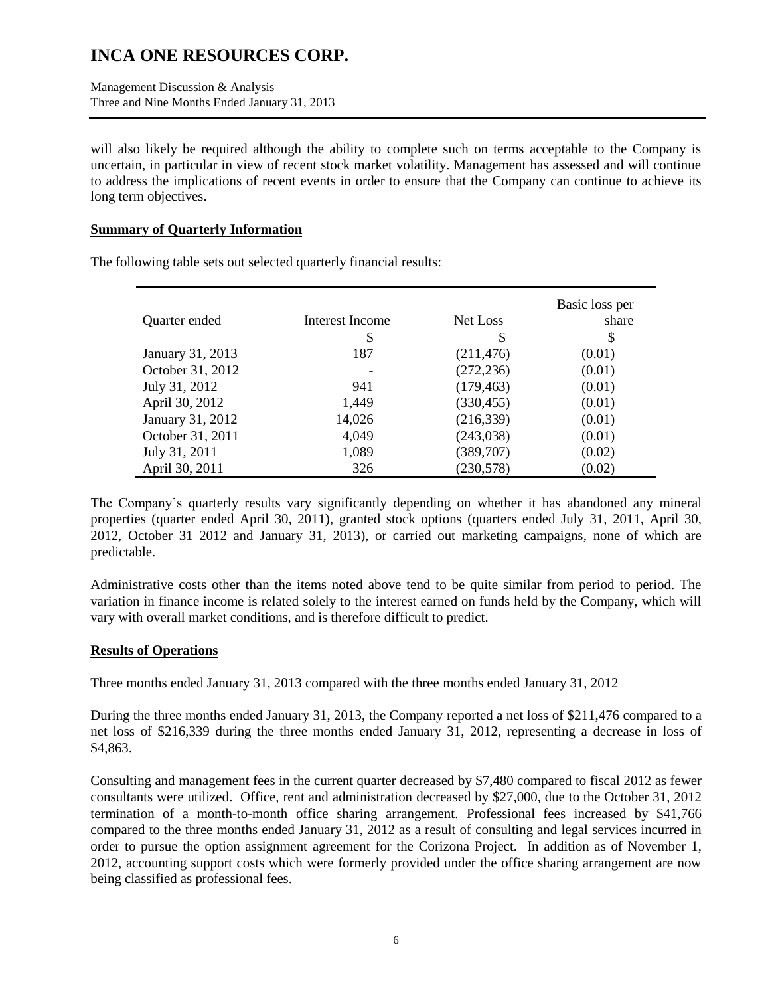Management Discussion & Analysis Three and Nine Months Ended January 31, 2013

will also likely be required although the ability to complete such on terms acceptable to the Company is uncertain, in particular in view of recent stock market volatility. Management has assessed and will continue to address the implications of recent events in order to ensure that the Company can continue to achieve its long term objectives.

### **Summary of Quarterly Information**

| Quarter ended    | Interest Income | Net Loss   | Basic loss per<br>share |
|------------------|-----------------|------------|-------------------------|
|                  | \$              | \$         | S                       |
| January 31, 2013 | 187             | (211, 476) | (0.01)                  |
| October 31, 2012 |                 | (272, 236) | (0.01)                  |
| July 31, 2012    | 941             | (179, 463) | (0.01)                  |
| April 30, 2012   | 1,449           | (330, 455) | (0.01)                  |
| January 31, 2012 | 14,026          | (216, 339) | (0.01)                  |
| October 31, 2011 | 4,049           | (243,038)  | (0.01)                  |
| July 31, 2011    | 1,089           | (389, 707) | (0.02)                  |
| April 30, 2011   | 326             | (230, 578) | (0.02)                  |

The following table sets out selected quarterly financial results:

The Company's quarterly results vary significantly depending on whether it has abandoned any mineral properties (quarter ended April 30, 2011), granted stock options (quarters ended July 31, 2011, April 30, 2012, October 31 2012 and January 31, 2013), or carried out marketing campaigns, none of which are predictable.

Administrative costs other than the items noted above tend to be quite similar from period to period. The variation in finance income is related solely to the interest earned on funds held by the Company, which will vary with overall market conditions, and is therefore difficult to predict.

## **Results of Operations**

## Three months ended January 31, 2013 compared with the three months ended January 31, 2012

During the three months ended January 31, 2013, the Company reported a net loss of \$211,476 compared to a net loss of \$216,339 during the three months ended January 31, 2012, representing a decrease in loss of \$4,863.

Consulting and management fees in the current quarter decreased by \$7,480 compared to fiscal 2012 as fewer consultants were utilized. Office, rent and administration decreased by \$27,000, due to the October 31, 2012 termination of a month-to-month office sharing arrangement. Professional fees increased by \$41,766 compared to the three months ended January 31, 2012 as a result of consulting and legal services incurred in order to pursue the option assignment agreement for the Corizona Project. In addition as of November 1, 2012, accounting support costs which were formerly provided under the office sharing arrangement are now being classified as professional fees.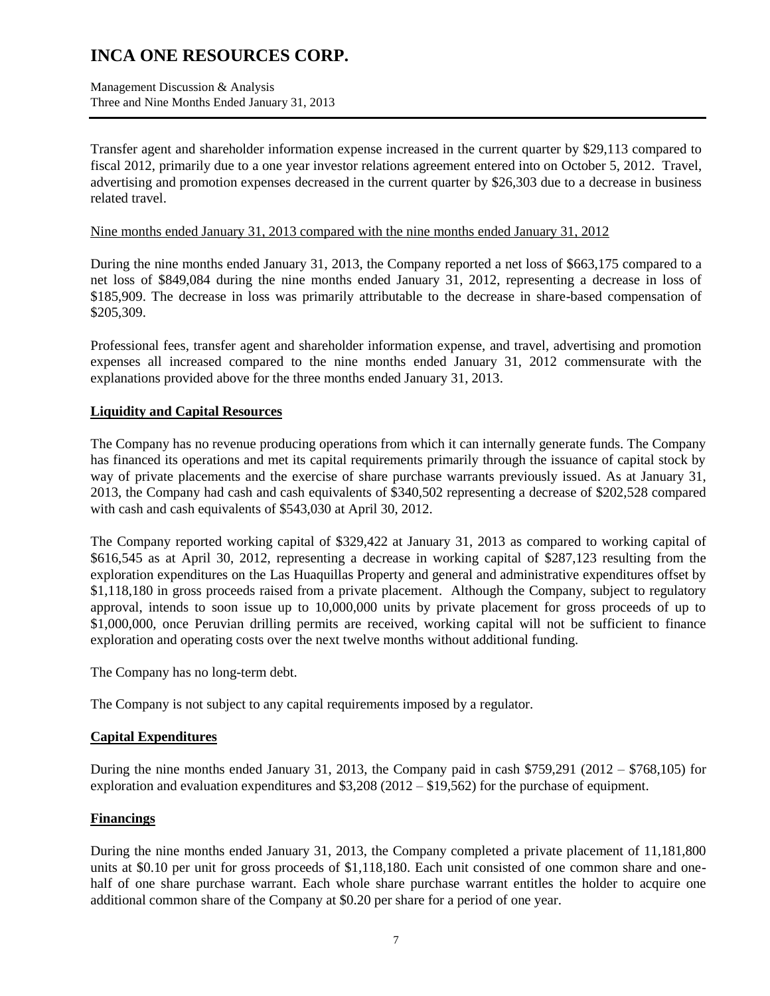Management Discussion & Analysis Three and Nine Months Ended January 31, 2013

Transfer agent and shareholder information expense increased in the current quarter by \$29,113 compared to fiscal 2012, primarily due to a one year investor relations agreement entered into on October 5, 2012. Travel, advertising and promotion expenses decreased in the current quarter by \$26,303 due to a decrease in business related travel.

Nine months ended January 31, 2013 compared with the nine months ended January 31, 2012

During the nine months ended January 31, 2013, the Company reported a net loss of \$663,175 compared to a net loss of \$849,084 during the nine months ended January 31, 2012, representing a decrease in loss of \$185,909. The decrease in loss was primarily attributable to the decrease in share-based compensation of \$205,309.

Professional fees, transfer agent and shareholder information expense, and travel, advertising and promotion expenses all increased compared to the nine months ended January 31, 2012 commensurate with the explanations provided above for the three months ended January 31, 2013.

## **Liquidity and Capital Resources**

The Company has no revenue producing operations from which it can internally generate funds. The Company has financed its operations and met its capital requirements primarily through the issuance of capital stock by way of private placements and the exercise of share purchase warrants previously issued. As at January 31, 2013, the Company had cash and cash equivalents of \$340,502 representing a decrease of \$202,528 compared with cash and cash equivalents of \$543,030 at April 30, 2012.

The Company reported working capital of \$329,422 at January 31, 2013 as compared to working capital of \$616,545 as at April 30, 2012, representing a decrease in working capital of \$287,123 resulting from the exploration expenditures on the Las Huaquillas Property and general and administrative expenditures offset by \$1,118,180 in gross proceeds raised from a private placement. Although the Company, subject to regulatory approval, intends to soon issue up to 10,000,000 units by private placement for gross proceeds of up to \$1,000,000, once Peruvian drilling permits are received, working capital will not be sufficient to finance exploration and operating costs over the next twelve months without additional funding.

The Company has no long-term debt.

The Company is not subject to any capital requirements imposed by a regulator.

## **Capital Expenditures**

During the nine months ended January 31, 2013, the Company paid in cash  $$759,291$  (2012 –  $$768,105$ ) for exploration and evaluation expenditures and \$3,208 (2012 – \$19,562) for the purchase of equipment.

### **Financings**

During the nine months ended January 31, 2013, the Company completed a private placement of 11,181,800 units at \$0.10 per unit for gross proceeds of \$1,118,180. Each unit consisted of one common share and onehalf of one share purchase warrant. Each whole share purchase warrant entitles the holder to acquire one additional common share of the Company at \$0.20 per share for a period of one year.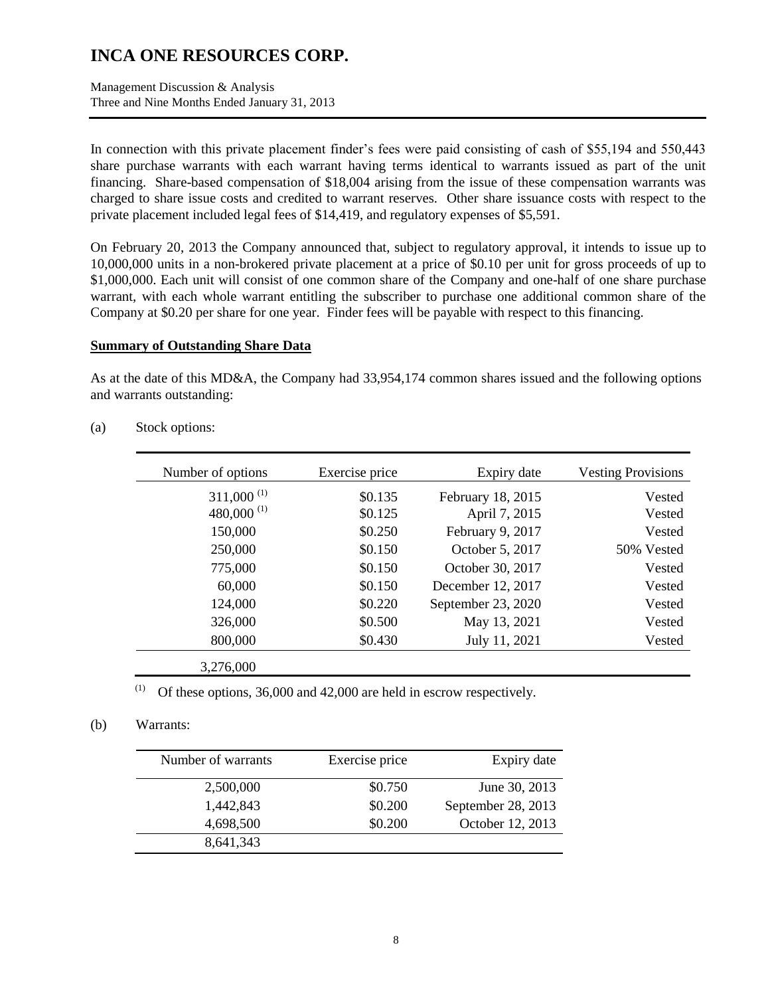Management Discussion & Analysis Three and Nine Months Ended January 31, 2013

In connection with this private placement finder's fees were paid consisting of cash of \$55,194 and 550,443 share purchase warrants with each warrant having terms identical to warrants issued as part of the unit financing. Share-based compensation of \$18,004 arising from the issue of these compensation warrants was charged to share issue costs and credited to warrant reserves. Other share issuance costs with respect to the private placement included legal fees of \$14,419, and regulatory expenses of \$5,591.

On February 20, 2013 the Company announced that, subject to regulatory approval, it intends to issue up to 10,000,000 units in a non-brokered private placement at a price of \$0.10 per unit for gross proceeds of up to \$1,000,000. Each unit will consist of one common share of the Company and one-half of one share purchase warrant, with each whole warrant entitling the subscriber to purchase one additional common share of the Company at \$0.20 per share for one year. Finder fees will be payable with respect to this financing.

#### **Summary of Outstanding Share Data**

As at the date of this MD&A, the Company had 33,954,174 common shares issued and the following options and warrants outstanding:

| Number of options                   | Exercise price | Expiry date        | <b>Vesting Provisions</b> |
|-------------------------------------|----------------|--------------------|---------------------------|
| $311,000^{(1)}$                     | \$0.135        | February 18, 2015  | Vested                    |
| 480,000 <sup><math>(1)</math></sup> | \$0.125        | April 7, 2015      | Vested                    |
| 150,000                             | \$0.250        | February 9, 2017   | Vested                    |
| 250,000                             | \$0.150        | October 5, 2017    | 50% Vested                |
| 775,000                             | \$0.150        | October 30, 2017   | Vested                    |
| 60,000                              | \$0.150        | December 12, 2017  | Vested                    |
| 124,000                             | \$0.220        | September 23, 2020 | Vested                    |
| 326,000                             | \$0.500        | May 13, 2021       | Vested                    |
| 800,000                             | \$0.430        | July 11, 2021      | Vested                    |
| 3,276,000                           |                |                    |                           |

(a) Stock options:

(1) Of these options,  $36,000$  and  $42,000$  are held in escrow respectively.

### (b) Warrants:

| Number of warrants | Exercise price | Expiry date        |
|--------------------|----------------|--------------------|
| 2,500,000          | \$0.750        | June 30, 2013      |
| 1,442,843          | \$0.200        | September 28, 2013 |
| 4,698,500          | \$0.200        | October 12, 2013   |
| 8,641,343          |                |                    |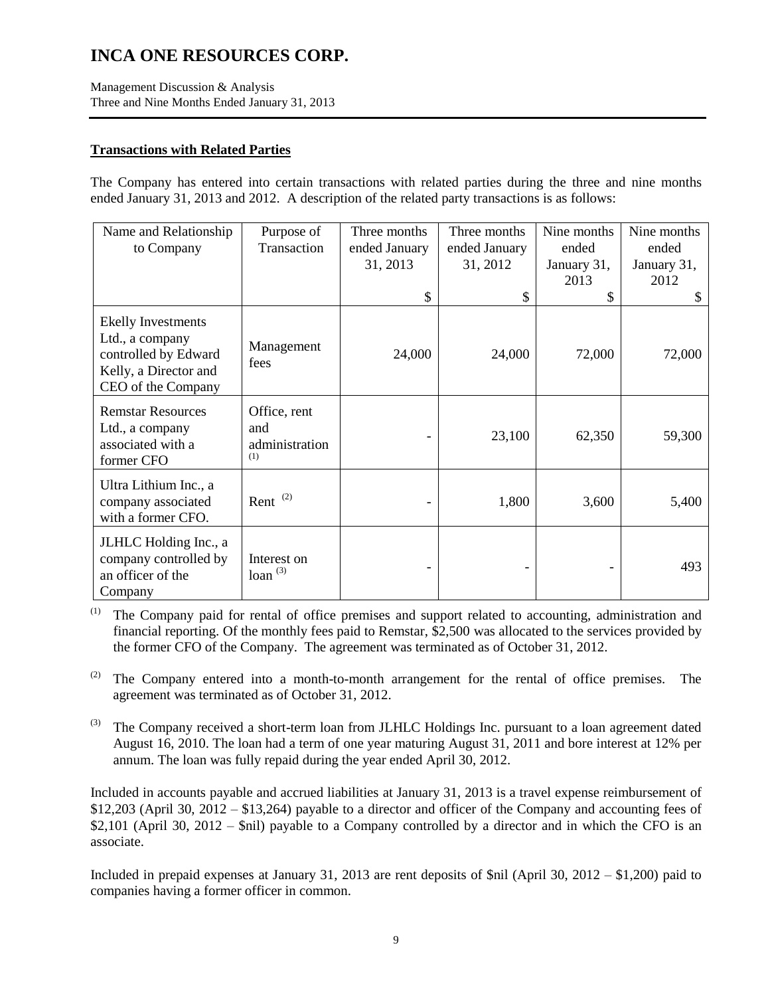Management Discussion & Analysis Three and Nine Months Ended January 31, 2013

### **Transactions with Related Parties**

The Company has entered into certain transactions with related parties during the three and nine months ended January 31, 2013 and 2012. A description of the related party transactions is as follows:

| Name and Relationship                                                                                        | Purpose of                                   | Three months  | Three months  | Nine months | Nine months |
|--------------------------------------------------------------------------------------------------------------|----------------------------------------------|---------------|---------------|-------------|-------------|
| to Company                                                                                                   | Transaction                                  | ended January | ended January | ended       | ended       |
|                                                                                                              |                                              | 31, 2013      | 31, 2012      | January 31, | January 31, |
|                                                                                                              |                                              |               |               | 2013        | 2012        |
|                                                                                                              |                                              | \$            | \$            | \$          | \$          |
| Ekelly Investments<br>Ltd., a company<br>controlled by Edward<br>Kelly, a Director and<br>CEO of the Company | Management<br>fees                           | 24,000        | 24,000        | 72,000      | 72,000      |
| <b>Remstar Resources</b><br>Ltd., a company<br>associated with a<br>former CFO                               | Office, rent<br>and<br>administration<br>(1) |               | 23,100        | 62,350      | 59,300      |
| Ultra Lithium Inc., a<br>company associated<br>with a former CFO.                                            | Rent $(2)$                                   |               | 1,800         | 3,600       | 5,400       |
| JLHLC Holding Inc., a<br>company controlled by<br>an officer of the<br>Company                               | Interest on<br>loan $(3)$                    |               |               |             | 493         |

(1) The Company paid for rental of office premises and support related to accounting, administration and financial reporting. Of the monthly fees paid to Remstar, \$2,500 was allocated to the services provided by the former CFO of the Company. The agreement was terminated as of October 31, 2012.

 $(2)$  The Company entered into a month-to-month arrangement for the rental of office premises. The agreement was terminated as of October 31, 2012.

 $^{(3)}$  The Company received a short-term loan from JLHLC Holdings Inc. pursuant to a loan agreement dated August 16, 2010. The loan had a term of one year maturing August 31, 2011 and bore interest at 12% per annum. The loan was fully repaid during the year ended April 30, 2012.

Included in accounts payable and accrued liabilities at January 31, 2013 is a travel expense reimbursement of \$12,203 (April 30, 2012 – \$13,264) payable to a director and officer of the Company and accounting fees of \$2,101 (April 30, 2012 – \$nil) payable to a Company controlled by a director and in which the CFO is an associate.

Included in prepaid expenses at January 31, 2013 are rent deposits of \$nil (April 30, 2012 – \$1,200) paid to companies having a former officer in common.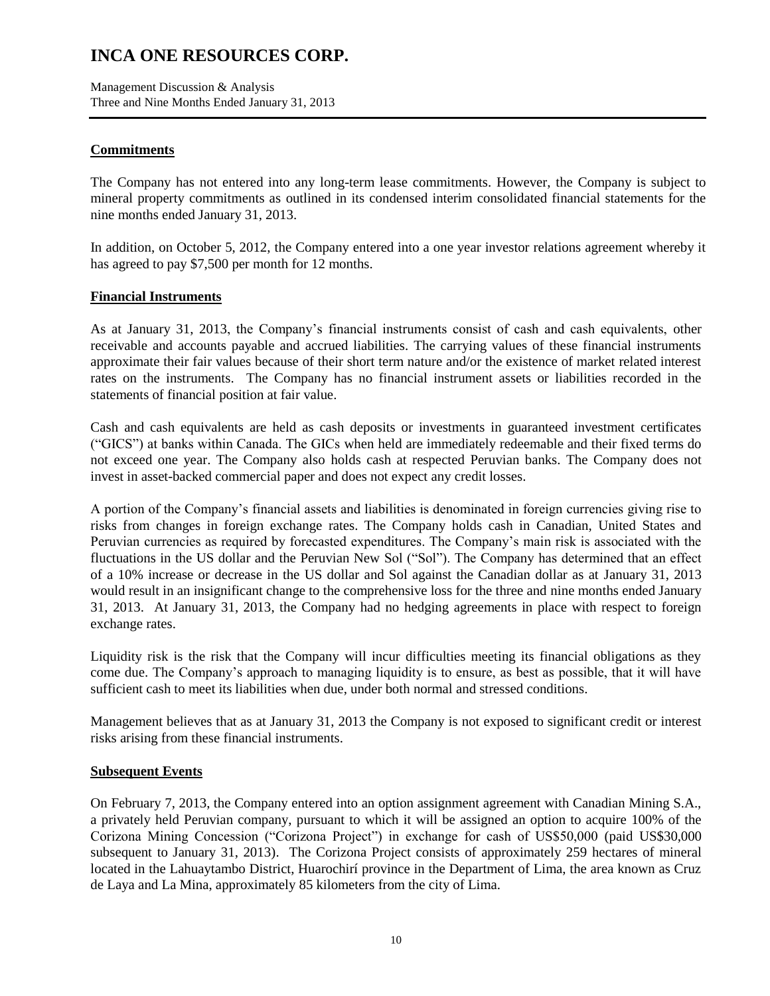Management Discussion & Analysis Three and Nine Months Ended January 31, 2013

### **Commitments**

The Company has not entered into any long-term lease commitments. However, the Company is subject to mineral property commitments as outlined in its condensed interim consolidated financial statements for the nine months ended January 31, 2013.

In addition, on October 5, 2012, the Company entered into a one year investor relations agreement whereby it has agreed to pay \$7,500 per month for 12 months.

### **Financial Instruments**

As at January 31, 2013, the Company's financial instruments consist of cash and cash equivalents, other receivable and accounts payable and accrued liabilities. The carrying values of these financial instruments approximate their fair values because of their short term nature and/or the existence of market related interest rates on the instruments. The Company has no financial instrument assets or liabilities recorded in the statements of financial position at fair value.

Cash and cash equivalents are held as cash deposits or investments in guaranteed investment certificates ("GICS") at banks within Canada. The GICs when held are immediately redeemable and their fixed terms do not exceed one year. The Company also holds cash at respected Peruvian banks. The Company does not invest in asset-backed commercial paper and does not expect any credit losses.

A portion of the Company's financial assets and liabilities is denominated in foreign currencies giving rise to risks from changes in foreign exchange rates. The Company holds cash in Canadian, United States and Peruvian currencies as required by forecasted expenditures. The Company's main risk is associated with the fluctuations in the US dollar and the Peruvian New Sol ("Sol"). The Company has determined that an effect of a 10% increase or decrease in the US dollar and Sol against the Canadian dollar as at January 31, 2013 would result in an insignificant change to the comprehensive loss for the three and nine months ended January 31, 2013. At January 31, 2013, the Company had no hedging agreements in place with respect to foreign exchange rates.

Liquidity risk is the risk that the Company will incur difficulties meeting its financial obligations as they come due. The Company's approach to managing liquidity is to ensure, as best as possible, that it will have sufficient cash to meet its liabilities when due, under both normal and stressed conditions.

Management believes that as at January 31, 2013 the Company is not exposed to significant credit or interest risks arising from these financial instruments.

### **Subsequent Events**

On February 7, 2013, the Company entered into an option assignment agreement with Canadian Mining S.A., a privately held Peruvian company, pursuant to which it will be assigned an option to acquire 100% of the Corizona Mining Concession ("Corizona Project") in exchange for cash of US\$50,000 (paid US\$30,000 subsequent to January 31, 2013). The Corizona Project consists of approximately 259 hectares of mineral located in the Lahuaytambo District, Huarochirí province in the Department of Lima, the area known as Cruz de Laya and La Mina, approximately 85 kilometers from the city of Lima.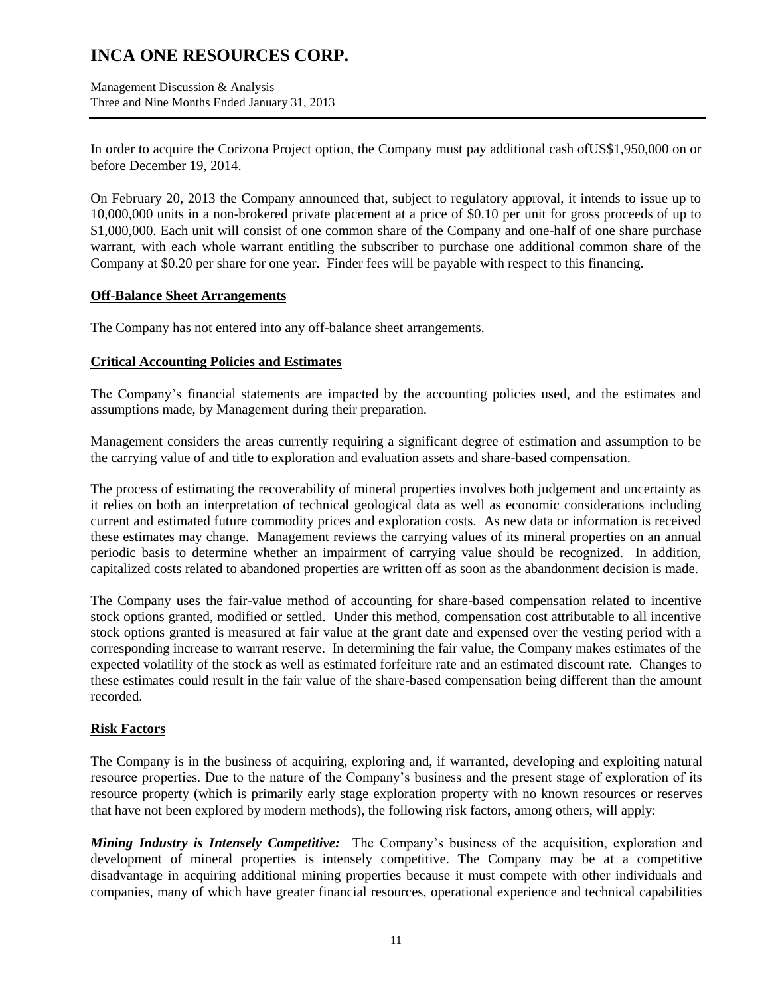Management Discussion & Analysis Three and Nine Months Ended January 31, 2013

In order to acquire the Corizona Project option, the Company must pay additional cash ofUS\$1,950,000 on or before December 19, 2014.

On February 20, 2013 the Company announced that, subject to regulatory approval, it intends to issue up to 10,000,000 units in a non-brokered private placement at a price of \$0.10 per unit for gross proceeds of up to \$1,000,000. Each unit will consist of one common share of the Company and one-half of one share purchase warrant, with each whole warrant entitling the subscriber to purchase one additional common share of the Company at \$0.20 per share for one year. Finder fees will be payable with respect to this financing.

### **Off-Balance Sheet Arrangements**

The Company has not entered into any off-balance sheet arrangements.

### **Critical Accounting Policies and Estimates**

The Company's financial statements are impacted by the accounting policies used, and the estimates and assumptions made, by Management during their preparation.

Management considers the areas currently requiring a significant degree of estimation and assumption to be the carrying value of and title to exploration and evaluation assets and share-based compensation.

The process of estimating the recoverability of mineral properties involves both judgement and uncertainty as it relies on both an interpretation of technical geological data as well as economic considerations including current and estimated future commodity prices and exploration costs. As new data or information is received these estimates may change. Management reviews the carrying values of its mineral properties on an annual periodic basis to determine whether an impairment of carrying value should be recognized. In addition, capitalized costs related to abandoned properties are written off as soon as the abandonment decision is made.

The Company uses the fair-value method of accounting for share-based compensation related to incentive stock options granted, modified or settled. Under this method, compensation cost attributable to all incentive stock options granted is measured at fair value at the grant date and expensed over the vesting period with a corresponding increase to warrant reserve. In determining the fair value, the Company makes estimates of the expected volatility of the stock as well as estimated forfeiture rate and an estimated discount rate. Changes to these estimates could result in the fair value of the share-based compensation being different than the amount recorded.

## **Risk Factors**

The Company is in the business of acquiring, exploring and, if warranted, developing and exploiting natural resource properties. Due to the nature of the Company's business and the present stage of exploration of its resource property (which is primarily early stage exploration property with no known resources or reserves that have not been explored by modern methods), the following risk factors, among others, will apply:

*Mining Industry is Intensely Competitive:* The Company's business of the acquisition, exploration and development of mineral properties is intensely competitive. The Company may be at a competitive disadvantage in acquiring additional mining properties because it must compete with other individuals and companies, many of which have greater financial resources, operational experience and technical capabilities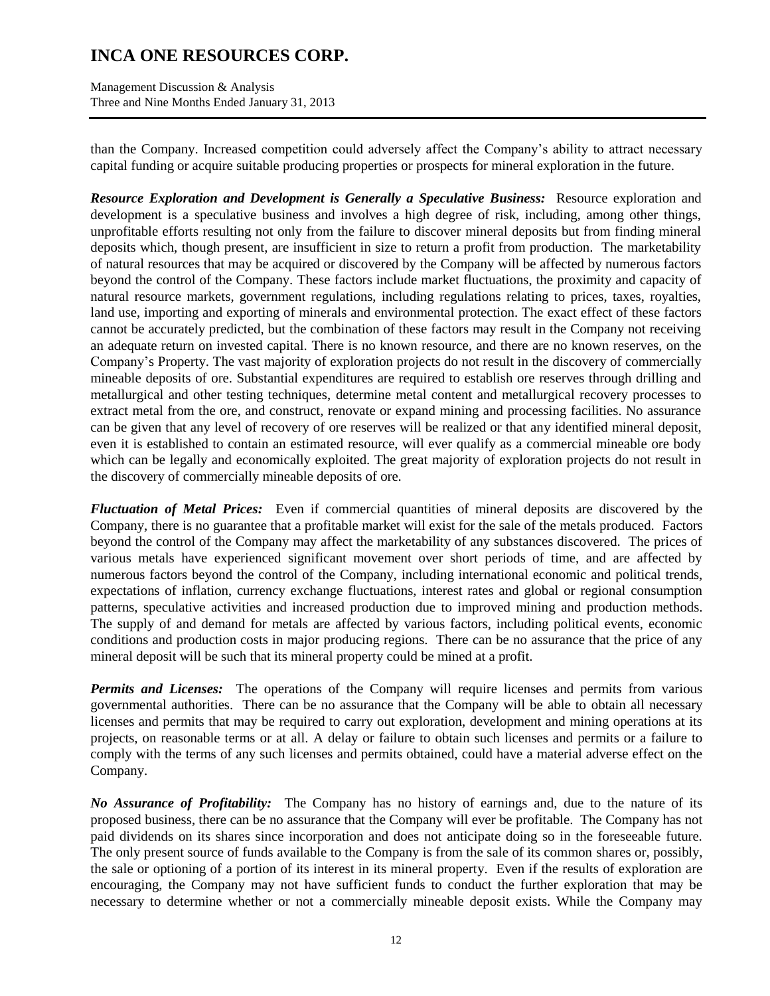Management Discussion & Analysis Three and Nine Months Ended January 31, 2013

than the Company. Increased competition could adversely affect the Company's ability to attract necessary capital funding or acquire suitable producing properties or prospects for mineral exploration in the future.

*Resource Exploration and Development is Generally a Speculative Business:* Resource exploration and development is a speculative business and involves a high degree of risk, including, among other things, unprofitable efforts resulting not only from the failure to discover mineral deposits but from finding mineral deposits which, though present, are insufficient in size to return a profit from production. The marketability of natural resources that may be acquired or discovered by the Company will be affected by numerous factors beyond the control of the Company. These factors include market fluctuations, the proximity and capacity of natural resource markets, government regulations, including regulations relating to prices, taxes, royalties, land use, importing and exporting of minerals and environmental protection. The exact effect of these factors cannot be accurately predicted, but the combination of these factors may result in the Company not receiving an adequate return on invested capital. There is no known resource, and there are no known reserves, on the Company's Property. The vast majority of exploration projects do not result in the discovery of commercially mineable deposits of ore. Substantial expenditures are required to establish ore reserves through drilling and metallurgical and other testing techniques, determine metal content and metallurgical recovery processes to extract metal from the ore, and construct, renovate or expand mining and processing facilities. No assurance can be given that any level of recovery of ore reserves will be realized or that any identified mineral deposit, even it is established to contain an estimated resource, will ever qualify as a commercial mineable ore body which can be legally and economically exploited. The great majority of exploration projects do not result in the discovery of commercially mineable deposits of ore.

*Fluctuation of Metal Prices:* Even if commercial quantities of mineral deposits are discovered by the Company, there is no guarantee that a profitable market will exist for the sale of the metals produced. Factors beyond the control of the Company may affect the marketability of any substances discovered. The prices of various metals have experienced significant movement over short periods of time, and are affected by numerous factors beyond the control of the Company, including international economic and political trends, expectations of inflation, currency exchange fluctuations, interest rates and global or regional consumption patterns, speculative activities and increased production due to improved mining and production methods. The supply of and demand for metals are affected by various factors, including political events, economic conditions and production costs in major producing regions. There can be no assurance that the price of any mineral deposit will be such that its mineral property could be mined at a profit.

*Permits and Licenses:* The operations of the Company will require licenses and permits from various governmental authorities. There can be no assurance that the Company will be able to obtain all necessary licenses and permits that may be required to carry out exploration, development and mining operations at its projects, on reasonable terms or at all. A delay or failure to obtain such licenses and permits or a failure to comply with the terms of any such licenses and permits obtained, could have a material adverse effect on the Company.

*No Assurance of Profitability:* The Company has no history of earnings and, due to the nature of its proposed business, there can be no assurance that the Company will ever be profitable. The Company has not paid dividends on its shares since incorporation and does not anticipate doing so in the foreseeable future. The only present source of funds available to the Company is from the sale of its common shares or, possibly, the sale or optioning of a portion of its interest in its mineral property. Even if the results of exploration are encouraging, the Company may not have sufficient funds to conduct the further exploration that may be necessary to determine whether or not a commercially mineable deposit exists. While the Company may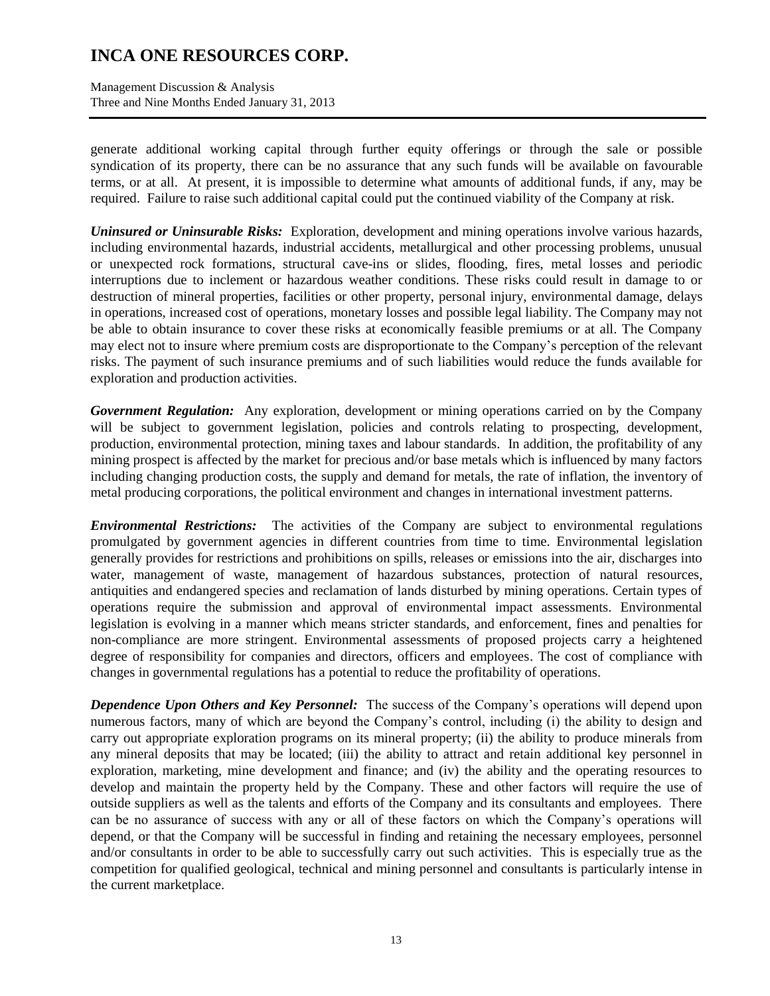Management Discussion & Analysis Three and Nine Months Ended January 31, 2013

generate additional working capital through further equity offerings or through the sale or possible syndication of its property, there can be no assurance that any such funds will be available on favourable terms, or at all. At present, it is impossible to determine what amounts of additional funds, if any, may be required. Failure to raise such additional capital could put the continued viability of the Company at risk.

*Uninsured or Uninsurable Risks:* Exploration, development and mining operations involve various hazards, including environmental hazards, industrial accidents, metallurgical and other processing problems, unusual or unexpected rock formations, structural cave-ins or slides, flooding, fires, metal losses and periodic interruptions due to inclement or hazardous weather conditions. These risks could result in damage to or destruction of mineral properties, facilities or other property, personal injury, environmental damage, delays in operations, increased cost of operations, monetary losses and possible legal liability. The Company may not be able to obtain insurance to cover these risks at economically feasible premiums or at all. The Company may elect not to insure where premium costs are disproportionate to the Company's perception of the relevant risks. The payment of such insurance premiums and of such liabilities would reduce the funds available for exploration and production activities.

*Government Regulation:* Any exploration, development or mining operations carried on by the Company will be subject to government legislation, policies and controls relating to prospecting, development, production, environmental protection, mining taxes and labour standards. In addition, the profitability of any mining prospect is affected by the market for precious and/or base metals which is influenced by many factors including changing production costs, the supply and demand for metals, the rate of inflation, the inventory of metal producing corporations, the political environment and changes in international investment patterns.

*Environmental Restrictions:* The activities of the Company are subject to environmental regulations promulgated by government agencies in different countries from time to time. Environmental legislation generally provides for restrictions and prohibitions on spills, releases or emissions into the air, discharges into water, management of waste, management of hazardous substances, protection of natural resources, antiquities and endangered species and reclamation of lands disturbed by mining operations. Certain types of operations require the submission and approval of environmental impact assessments. Environmental legislation is evolving in a manner which means stricter standards, and enforcement, fines and penalties for non-compliance are more stringent. Environmental assessments of proposed projects carry a heightened degree of responsibility for companies and directors, officers and employees. The cost of compliance with changes in governmental regulations has a potential to reduce the profitability of operations.

*Dependence Upon Others and Key Personnel:* The success of the Company's operations will depend upon numerous factors, many of which are beyond the Company's control, including (i) the ability to design and carry out appropriate exploration programs on its mineral property; (ii) the ability to produce minerals from any mineral deposits that may be located; (iii) the ability to attract and retain additional key personnel in exploration, marketing, mine development and finance; and (iv) the ability and the operating resources to develop and maintain the property held by the Company. These and other factors will require the use of outside suppliers as well as the talents and efforts of the Company and its consultants and employees. There can be no assurance of success with any or all of these factors on which the Company's operations will depend, or that the Company will be successful in finding and retaining the necessary employees, personnel and/or consultants in order to be able to successfully carry out such activities. This is especially true as the competition for qualified geological, technical and mining personnel and consultants is particularly intense in the current marketplace.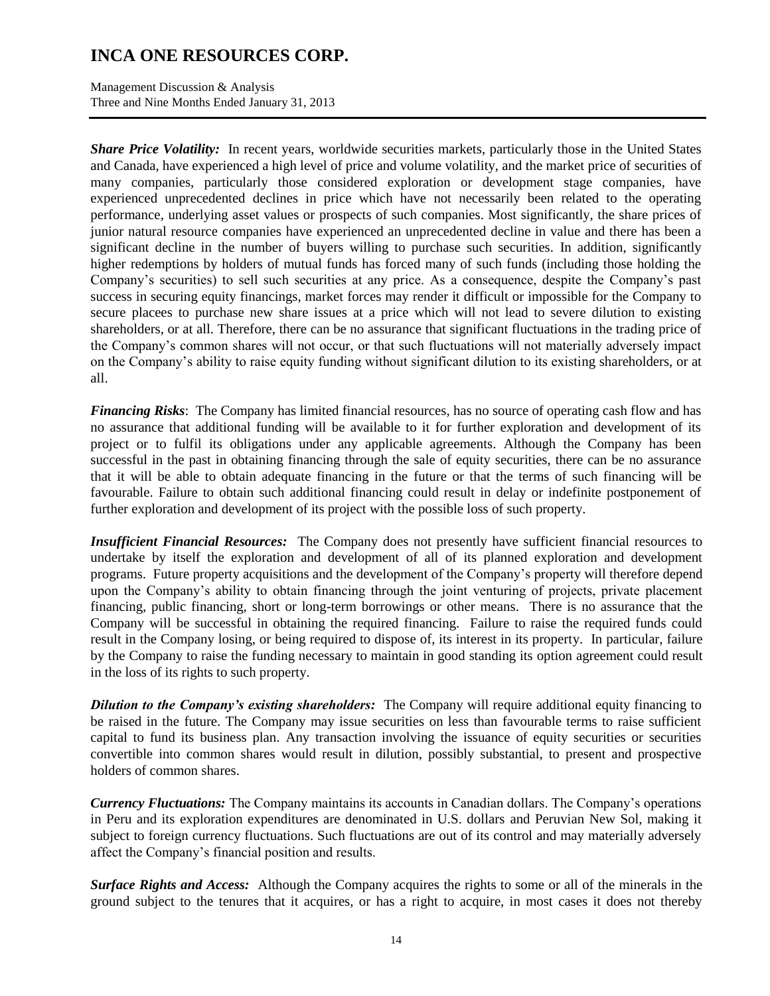Management Discussion & Analysis Three and Nine Months Ended January 31, 2013

*Share Price Volatility:* In recent years, worldwide securities markets, particularly those in the United States and Canada, have experienced a high level of price and volume volatility, and the market price of securities of many companies, particularly those considered exploration or development stage companies, have experienced unprecedented declines in price which have not necessarily been related to the operating performance, underlying asset values or prospects of such companies. Most significantly, the share prices of junior natural resource companies have experienced an unprecedented decline in value and there has been a significant decline in the number of buyers willing to purchase such securities. In addition, significantly higher redemptions by holders of mutual funds has forced many of such funds (including those holding the Company's securities) to sell such securities at any price. As a consequence, despite the Company's past success in securing equity financings, market forces may render it difficult or impossible for the Company to secure placees to purchase new share issues at a price which will not lead to severe dilution to existing shareholders, or at all. Therefore, there can be no assurance that significant fluctuations in the trading price of the Company's common shares will not occur, or that such fluctuations will not materially adversely impact on the Company's ability to raise equity funding without significant dilution to its existing shareholders, or at all.

*Financing Risks*: The Company has limited financial resources, has no source of operating cash flow and has no assurance that additional funding will be available to it for further exploration and development of its project or to fulfil its obligations under any applicable agreements. Although the Company has been successful in the past in obtaining financing through the sale of equity securities, there can be no assurance that it will be able to obtain adequate financing in the future or that the terms of such financing will be favourable. Failure to obtain such additional financing could result in delay or indefinite postponement of further exploration and development of its project with the possible loss of such property.

*Insufficient Financial Resources:* The Company does not presently have sufficient financial resources to undertake by itself the exploration and development of all of its planned exploration and development programs. Future property acquisitions and the development of the Company's property will therefore depend upon the Company's ability to obtain financing through the joint venturing of projects, private placement financing, public financing, short or long-term borrowings or other means. There is no assurance that the Company will be successful in obtaining the required financing. Failure to raise the required funds could result in the Company losing, or being required to dispose of, its interest in its property. In particular, failure by the Company to raise the funding necessary to maintain in good standing its option agreement could result in the loss of its rights to such property.

*Dilution to the Company's existing shareholders:* The Company will require additional equity financing to be raised in the future. The Company may issue securities on less than favourable terms to raise sufficient capital to fund its business plan. Any transaction involving the issuance of equity securities or securities convertible into common shares would result in dilution, possibly substantial, to present and prospective holders of common shares.

*Currency Fluctuations:* The Company maintains its accounts in Canadian dollars. The Company's operations in Peru and its exploration expenditures are denominated in U.S. dollars and Peruvian New Sol, making it subject to foreign currency fluctuations. Such fluctuations are out of its control and may materially adversely affect the Company's financial position and results.

*Surface Rights and Access:* Although the Company acquires the rights to some or all of the minerals in the ground subject to the tenures that it acquires, or has a right to acquire, in most cases it does not thereby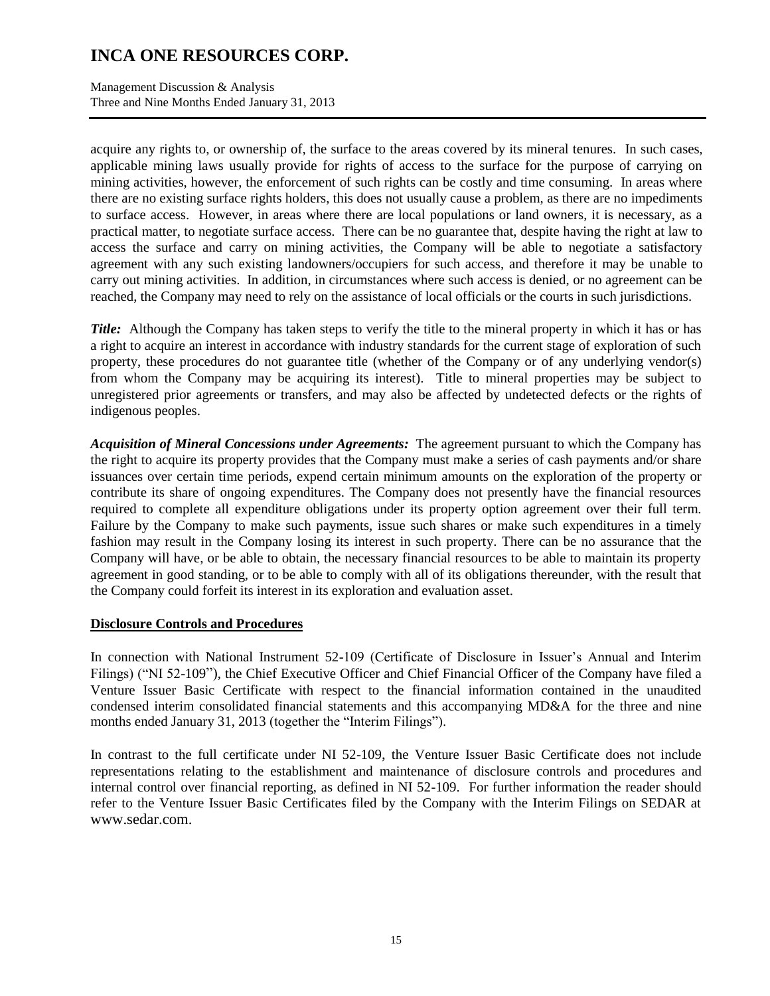Management Discussion & Analysis Three and Nine Months Ended January 31, 2013

acquire any rights to, or ownership of, the surface to the areas covered by its mineral tenures. In such cases, applicable mining laws usually provide for rights of access to the surface for the purpose of carrying on mining activities, however, the enforcement of such rights can be costly and time consuming. In areas where there are no existing surface rights holders, this does not usually cause a problem, as there are no impediments to surface access. However, in areas where there are local populations or land owners, it is necessary, as a practical matter, to negotiate surface access. There can be no guarantee that, despite having the right at law to access the surface and carry on mining activities, the Company will be able to negotiate a satisfactory agreement with any such existing landowners/occupiers for such access, and therefore it may be unable to carry out mining activities. In addition, in circumstances where such access is denied, or no agreement can be reached, the Company may need to rely on the assistance of local officials or the courts in such jurisdictions.

*Title:* Although the Company has taken steps to verify the title to the mineral property in which it has or has a right to acquire an interest in accordance with industry standards for the current stage of exploration of such property, these procedures do not guarantee title (whether of the Company or of any underlying vendor(s) from whom the Company may be acquiring its interest). Title to mineral properties may be subject to unregistered prior agreements or transfers, and may also be affected by undetected defects or the rights of indigenous peoples.

*Acquisition of Mineral Concessions under Agreements:* The agreement pursuant to which the Company has the right to acquire its property provides that the Company must make a series of cash payments and/or share issuances over certain time periods, expend certain minimum amounts on the exploration of the property or contribute its share of ongoing expenditures. The Company does not presently have the financial resources required to complete all expenditure obligations under its property option agreement over their full term. Failure by the Company to make such payments, issue such shares or make such expenditures in a timely fashion may result in the Company losing its interest in such property. There can be no assurance that the Company will have, or be able to obtain, the necessary financial resources to be able to maintain its property agreement in good standing, or to be able to comply with all of its obligations thereunder, with the result that the Company could forfeit its interest in its exploration and evaluation asset.

### **Disclosure Controls and Procedures**

In connection with National Instrument 52-109 (Certificate of Disclosure in Issuer's Annual and Interim Filings) ("NI 52-109"), the Chief Executive Officer and Chief Financial Officer of the Company have filed a Venture Issuer Basic Certificate with respect to the financial information contained in the unaudited condensed interim consolidated financial statements and this accompanying MD&A for the three and nine months ended January 31, 2013 (together the "Interim Filings").

In contrast to the full certificate under NI 52-109, the Venture Issuer Basic Certificate does not include representations relating to the establishment and maintenance of disclosure controls and procedures and internal control over financial reporting, as defined in NI 52-109. For further information the reader should refer to the Venture Issuer Basic Certificates filed by the Company with the Interim Filings on SEDAR at www.sedar.com.